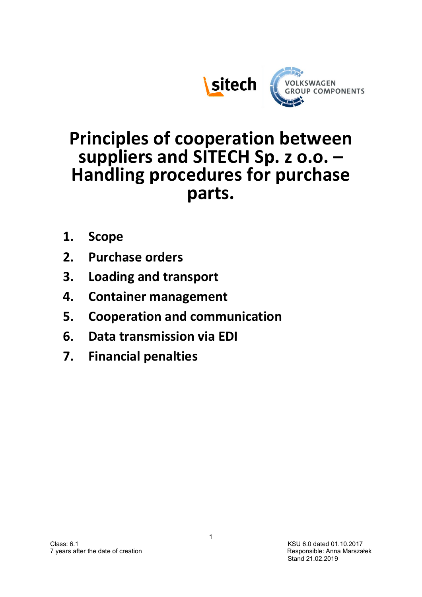



# Principles of cooperation between suppliers and SITECH Sp. z o.o. – Handling procedures for purchase parts.

- 1. Scope
- 2. Purchase orders
- 3. Loading and transport
- 4. Container management
- 5. Cooperation and communication
- 6. Data transmission via EDI
- 7. Financial penalties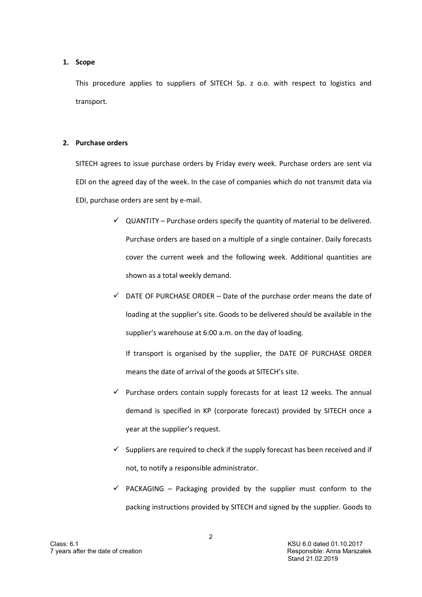#### 1. Scope

This procedure applies to suppliers of SITECH Sp. z o.o. with respect to logistics and transport.

#### 2. Purchase orders

SITECH agrees to issue purchase orders by Friday every week. Purchase orders are sent via EDI on the agreed day of the week. In the case of companies which do not transmit data via EDI, purchase orders are sent by e-mail.

- $\checkmark$  QUANTITY Purchase orders specify the quantity of material to be delivered. Purchase orders are based on a multiple of a single container. Daily forecasts cover the current week and the following week. Additional quantities are shown as a total weekly demand.
- $\checkmark$  DATE OF PURCHASE ORDER Date of the purchase order means the date of loading at the supplier's site. Goods to be delivered should be available in the supplier's warehouse at 6:00 a.m. on the day of loading.

If transport is organised by the supplier, the DATE OF PURCHASE ORDER means the date of arrival of the goods at SITECH's site.

- $\checkmark$  Purchase orders contain supply forecasts for at least 12 weeks. The annual demand is specified in KP (corporate forecast) provided by SITECH once a year at the supplier's request.
- $\checkmark$  Suppliers are required to check if the supply forecast has been received and if not, to notify a responsible administrator.
- $\checkmark$  PACKAGING Packaging provided by the supplier must conform to the packing instructions provided by SITECH and signed by the supplier. Goods to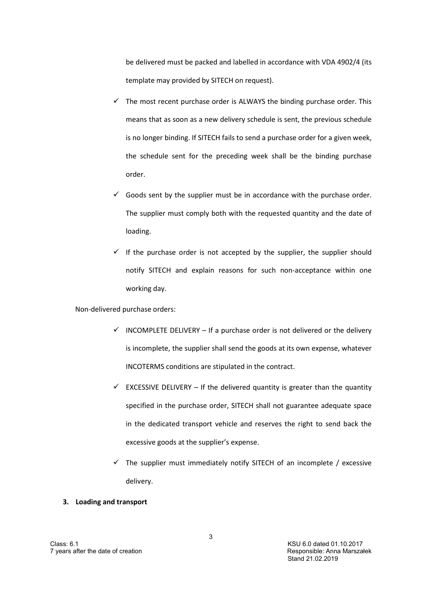be delivered must be packed and labelled in accordance with VDA 4902/4 (its template may provided by SITECH on request).

- $\checkmark$  The most recent purchase order is ALWAYS the binding purchase order. This means that as soon as a new delivery schedule is sent, the previous schedule is no longer binding. If SITECH fails to send a purchase order for a given week, the schedule sent for the preceding week shall be the binding purchase order.
- $\checkmark$  Goods sent by the supplier must be in accordance with the purchase order. The supplier must comply both with the requested quantity and the date of loading.
- $\checkmark$  If the purchase order is not accepted by the supplier, the supplier should notify SITECH and explain reasons for such non-acceptance within one working day.

Non-delivered purchase orders:

- $\checkmark$  INCOMPLETE DELIVERY If a purchase order is not delivered or the delivery is incomplete, the supplier shall send the goods at its own expense, whatever INCOTERMS conditions are stipulated in the contract.
- $\checkmark$  EXCESSIVE DELIVERY If the delivered quantity is greater than the quantity specified in the purchase order, SITECH shall not guarantee adequate space in the dedicated transport vehicle and reserves the right to send back the excessive goods at the supplier's expense.
- $\checkmark$  The supplier must immediately notify SITECH of an incomplete / excessive delivery.

## 3. Loading and transport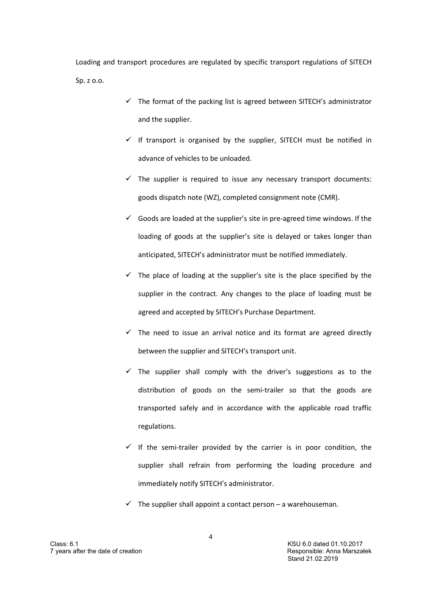Loading and transport procedures are regulated by specific transport regulations of SITECH Sp. z o.o.

- $\checkmark$  The format of the packing list is agreed between SITECH's administrator and the supplier.
- $\checkmark$  If transport is organised by the supplier, SITECH must be notified in advance of vehicles to be unloaded.
- $\checkmark$  The supplier is required to issue any necessary transport documents: goods dispatch note (WZ), completed consignment note (CMR).
- $\checkmark$  Goods are loaded at the supplier's site in pre-agreed time windows. If the loading of goods at the supplier's site is delayed or takes longer than anticipated, SITECH's administrator must be notified immediately.
- $\checkmark$  The place of loading at the supplier's site is the place specified by the supplier in the contract. Any changes to the place of loading must be agreed and accepted by SITECH's Purchase Department.
- $\checkmark$  The need to issue an arrival notice and its format are agreed directly between the supplier and SITECH's transport unit.
- $\checkmark$  The supplier shall comply with the driver's suggestions as to the distribution of goods on the semi-trailer so that the goods are transported safely and in accordance with the applicable road traffic regulations.
- $\checkmark$  If the semi-trailer provided by the carrier is in poor condition, the supplier shall refrain from performing the loading procedure and immediately notify SITECH's administrator.
- $\checkmark$  The supplier shall appoint a contact person a warehouseman.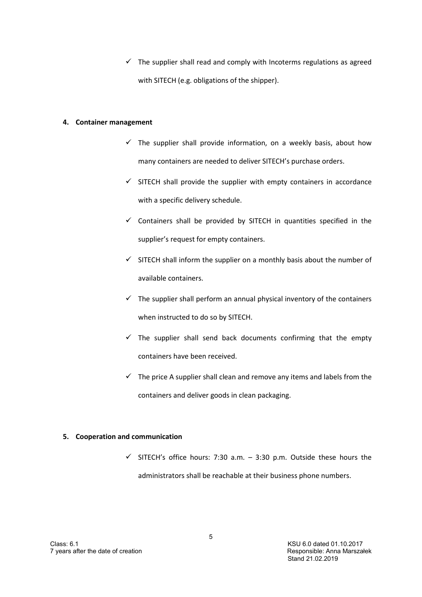$\checkmark$  The supplier shall read and comply with Incoterms regulations as agreed with SITECH (e.g. obligations of the shipper).

### 4. Container management

- $\checkmark$  The supplier shall provide information, on a weekly basis, about how many containers are needed to deliver SITECH's purchase orders.
- $\checkmark$  SITECH shall provide the supplier with empty containers in accordance with a specific delivery schedule.
- $\checkmark$  Containers shall be provided by SITECH in quantities specified in the supplier's request for empty containers.
- $\checkmark$  SITECH shall inform the supplier on a monthly basis about the number of available containers.
- $\checkmark$  The supplier shall perform an annual physical inventory of the containers when instructed to do so by SITECH.
- $\checkmark$  The supplier shall send back documents confirming that the empty containers have been received.
- $\checkmark$  The price A supplier shall clean and remove any items and labels from the containers and deliver goods in clean packaging.

## 5. Cooperation and communication

 $\checkmark$  SITECH's office hours: 7:30 a.m. – 3:30 p.m. Outside these hours the administrators shall be reachable at their business phone numbers.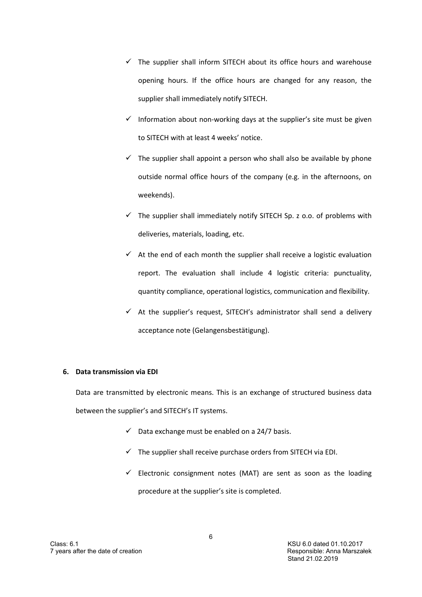- $\checkmark$  The supplier shall inform SITECH about its office hours and warehouse opening hours. If the office hours are changed for any reason, the supplier shall immediately notify SITECH.
- $\checkmark$  Information about non-working days at the supplier's site must be given to SITECH with at least 4 weeks' notice.
- $\checkmark$  The supplier shall appoint a person who shall also be available by phone outside normal office hours of the company (e.g. in the afternoons, on weekends).
- $\checkmark$  The supplier shall immediately notify SITECH Sp. z o.o. of problems with deliveries, materials, loading, etc.
- $\checkmark$  At the end of each month the supplier shall receive a logistic evaluation report. The evaluation shall include 4 logistic criteria: punctuality, quantity compliance, operational logistics, communication and flexibility.
- $\checkmark$  At the supplier's request, SITECH's administrator shall send a delivery acceptance note (Gelangensbestätigung).

#### 6. Data transmission via EDI

Data are transmitted by electronic means. This is an exchange of structured business data between the supplier's and SITECH's IT systems.

- $\checkmark$  Data exchange must be enabled on a 24/7 basis.
- $\checkmark$  The supplier shall receive purchase orders from SITECH via EDI.
- $\checkmark$  Electronic consignment notes (MAT) are sent as soon as the loading procedure at the supplier's site is completed.